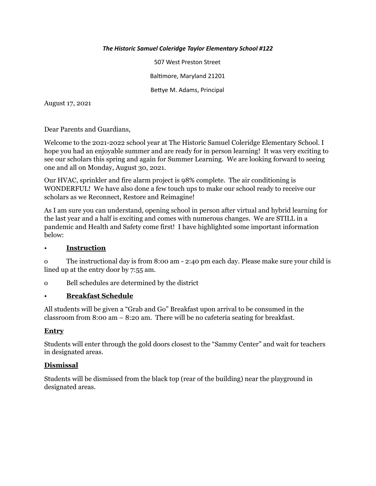#### *The Historic Samuel Coleridge Taylor Elementary School #122*

507 West Preston Street Baltimore, Maryland 21201 Bettye M. Adams, Principal

August 17, 2021

Dear Parents and Guardians,

Welcome to the 2021-2022 school year at The Historic Samuel Coleridge Elementary School. I hope you had an enjoyable summer and are ready for in person learning! It was very exciting to see our scholars this spring and again for Summer Learning. We are looking forward to seeing one and all on Monday, August 30, 2021.

Our HVAC, sprinkler and fire alarm project is 98% complete. The air conditioning is WONDERFUL! We have also done a few touch ups to make our school ready to receive our scholars as we Reconnect, Restore and Reimagine!

As I am sure you can understand, opening school in person after virtual and hybrid learning for the last year and a half is exciting and comes with numerous changes. We are STILL in a pandemic and Health and Safety come first! I have highlighted some important information below:

#### • **Instruction**

o The instructional day is from 8:00 am - 2:40 pm each day. Please make sure your child is lined up at the entry door by 7:55 am.

o Bell schedules are determined by the district

## • **Breakfast Schedule**

All students will be given a "Grab and Go" Breakfast upon arrival to be consumed in the classroom from 8:00 am – 8:20 am. There will be no cafeteria seating for breakfast.

## **Entry**

Students will enter through the gold doors closest to the "Sammy Center" and wait for teachers in designated areas.

#### **Dismissal**

Students will be dismissed from the black top (rear of the building) near the playground in designated areas.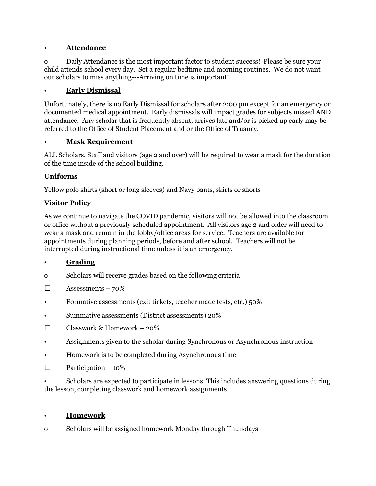## • **Attendance**

o Daily Attendance is the most important factor to student success! Please be sure your child attends school every day. Set a regular bedtime and morning routines. We do not want our scholars to miss anything---Arriving on time is important!

## • **Early Dismissal**

Unfortunately, there is no Early Dismissal for scholars after 2:00 pm except for an emergency or documented medical appointment. Early dismissals will impact grades for subjects missed AND attendance. Any scholar that is frequently absent, arrives late and/or is picked up early may be referred to the Office of Student Placement and or the Office of Truancy.

#### • **Mask Requirement**

ALL Scholars, Staff and visitors (age 2 and over) will be required to wear a mask for the duration of the time inside of the school building.

## **Uniforms**

Yellow polo shirts (short or long sleeves) and Navy pants, skirts or shorts

#### **Visitor Policy**

As we continue to navigate the COVID pandemic, visitors will not be allowed into the classroom or office without a previously scheduled appointment. All visitors age 2 and older will need to wear a mask and remain in the lobby/office areas for service. Teachers are available for appointments during planning periods, before and after school. Teachers will not be interrupted during instructional time unless it is an emergency.

## • **Grading**

- o Scholars will receive grades based on the following criteria
- $\Box$  Assessments 70%
- Formative assessments (exit tickets, teacher made tests, etc.) 50%
- Summative assessments (District assessments) 20%
- $\Box$  Classwork & Homework 20%
- Assignments given to the scholar during Synchronous or Asynchronous instruction
- Homework is to be completed during Asynchronous time
- $\Box$  Participation 10%

• Scholars are expected to participate in lessons. This includes answering questions during the lesson, completing classwork and homework assignments

#### • **Homework**

o Scholars will be assigned homework Monday through Thursdays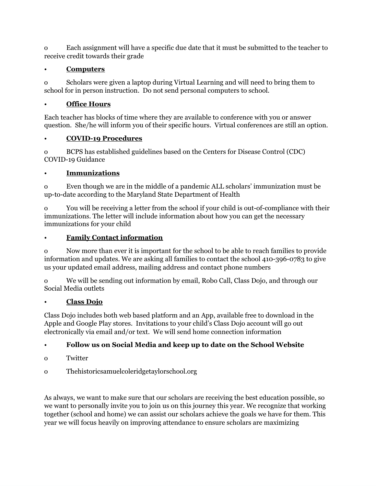o Each assignment will have a specific due date that it must be submitted to the teacher to receive credit towards their grade

## • **Computers**

o Scholars were given a laptop during Virtual Learning and will need to bring them to school for in person instruction. Do not send personal computers to school.

## • **Office Hours**

Each teacher has blocks of time where they are available to conference with you or answer question. She/he will inform you of their specific hours. Virtual conferences are still an option.

# • **COVID-19 Procedures**

o BCPS has established guidelines based on the Centers for Disease Control (CDC) COVID-19 Guidance

## • **Immunizations**

o Even though we are in the middle of a pandemic ALL scholars' immunization must be up-to-date according to the Maryland State Department of Health

o You will be receiving a letter from the school if your child is out-of-compliance with their immunizations. The letter will include information about how you can get the necessary immunizations for your child

# • **Family Contact information**

o Now more than ever it is important for the school to be able to reach families to provide information and updates. We are asking all families to contact the school 410-396-0783 to give us your updated email address, mailing address and contact phone numbers

o We will be sending out information by email, Robo Call, Class Dojo, and through our Social Media outlets

# • **Class Dojo**

Class Dojo includes both web based platform and an App, available free to download in the Apple and Google Play stores. Invitations to your child's Class Dojo account will go out electronically via email and/or text. We will send home connection information

# • **Follow us on Social Media and keep up to date on the School Website**

- o Twitter
- o Thehistoricsamuelcoleridgetaylorschool.org

As always, we want to make sure that our scholars are receiving the best education possible, so we want to personally invite you to join us on this journey this year. We recognize that working together (school and home) we can assist our scholars achieve the goals we have for them. This year we will focus heavily on improving attendance to ensure scholars are maximizing